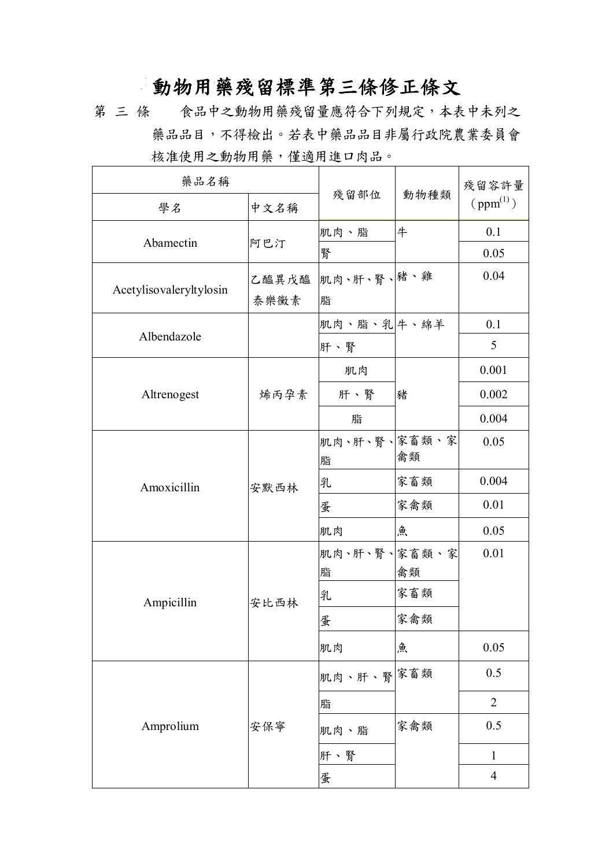## **動物用藥殘留標準第三條修正條文**

第 三 條 食品中之動物用藥殘留量應符合下列規定,本表中未列之 藥品品目,不得檢出。若表中藥品品目非屬行政院農業委員會 核准使用之動物用藥,僅適用進口肉品。

| 藥品名稱                    |       |              |      | 殘留容許量          |
|-------------------------|-------|--------------|------|----------------|
| 學名                      | 中文名稱  | 殘留部位         | 動物種類 | $ppm^{(1)}$    |
|                         |       | 肌肉、脂         | 牛    | 0.1            |
| Abamectin               | 阿巴汀   | 腎            |      | 0.05           |
|                         | 乙醯異戊醯 | 肌肉、肝、腎、緒、雞   |      | 0.04           |
| Acetylisovaleryltylosin | 泰樂黴素  | 脂            |      |                |
|                         |       | 肌肉、脂、乳牛、綿羊   |      | 0.1            |
| Albendazole             |       | 肝、腎          |      | 5              |
|                         |       | 肌肉           |      | 0.001          |
| Altrenogest             | 烯丙孕素  | 肝、腎          | 豬    | 0.002          |
|                         |       | 脂            |      | 0.004          |
|                         | 安默西林  | 肌肉、肝、腎、家畜類、家 |      | 0.05           |
|                         |       | 脂            | 禽類   |                |
| Amoxicillin             |       | 乳            | 家畜類  | 0.004          |
|                         |       | 蛋            | 家禽類  | 0.01           |
|                         |       | 肌肉           | 魚    | 0.05           |
|                         |       | 肌肉、肝、腎、家畜類、家 |      | 0.01           |
|                         |       | 脂            | 禽類   |                |
| Ampicillin              | 安比西林  | 乳            | 家畜類  |                |
|                         |       | 蛋            | 家禽類  |                |
|                         |       | 肌肉           | 魚    | 0.05           |
|                         |       | 肌肉、肝、腎余畜類    |      | 0.5            |
|                         |       | 脂            |      | $\overline{2}$ |
| Amprolium               | 安保寧   | 肌肉、脂         | 家禽類  | 0.5            |
|                         |       | 肝、腎          |      | $\mathbf{1}$   |
|                         |       | 蛋            |      | $\overline{4}$ |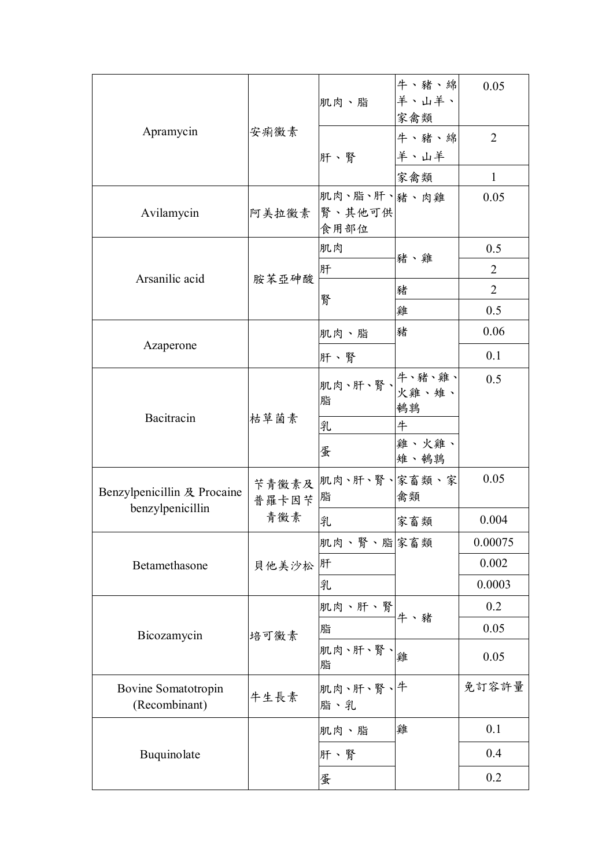|                                                 |                 | 肌肉、脂                                | 牛、豬、綿<br>羊、山羊、<br>家禽類 | 0.05           |
|-------------------------------------------------|-----------------|-------------------------------------|-----------------------|----------------|
| Apramycin                                       | 安痢黴素            | 肝、腎                                 | 牛、豬、綿<br>半、山羊         | $\overline{2}$ |
|                                                 |                 |                                     | 家禽類                   | $\mathbf{1}$   |
| Avilamycin                                      |                 | 肌肉、脂、肝、豬、肉雞<br>阿美拉黴素 腎、其他可供<br>食用部位 |                       | 0.05           |
|                                                 |                 | 肌肉                                  |                       | 0.5            |
|                                                 |                 | 肝                                   | 豬、雞                   | $\overline{2}$ |
| Arsanilic acid                                  | 胺苯亞砷酸           |                                     | 豬                     | $\overline{2}$ |
|                                                 |                 | 腎                                   | 雞                     | 0.5            |
|                                                 |                 | 肌肉、脂                                | 豬                     | 0.06           |
| Azaperone                                       |                 | 肝、腎                                 |                       | 0.1            |
|                                                 | 枯草菌素            | 脂                                   | 鵪鶉                    | 0.5            |
| Bacitracin                                      |                 | 乳                                   | 牛                     |                |
|                                                 |                 | 蛋                                   | 雞、火雞、<br>雉、鵪鶉         |                |
| Benzylpenicillin 及 Procaine<br>benzylpenicillin | 苄青黴素及<br>普羅卡因苄酯 | 肌肉、肝、腎、家畜類、家                        | 禽類                    | 0.05           |
|                                                 | 青黴素             | 乳                                   | 家畜類                   | 0.004          |
|                                                 |                 | 肌肉、腎、脂 家畜類                          |                       | 0.00075        |
| Betamethasone                                   | 貝他美沙松肝          |                                     |                       | 0.002          |
|                                                 |                 | 乳                                   |                       | 0.0003         |
|                                                 |                 | [肌肉、肝、腎 <br> <br> <br> 牛、豬          |                       | 0.2            |
| Bicozamycin                                     | 培可黴素            | 脂                                   |                       | 0.05           |
|                                                 |                 | 肌肉、肝、腎、<br>脂                        |                       | 0.05           |
| Bovine Somatotropin<br>(Recombinant)            | 牛生長素            | 肌肉、肝、腎、牛<br>脂、乳                     |                       | 免訂容許量          |
|                                                 |                 | 肌肉、脂                                | 雞                     | 0.1            |
| Buquinolate                                     |                 | 肝、腎                                 |                       | 0.4            |
|                                                 |                 | 蛋                                   |                       | 0.2            |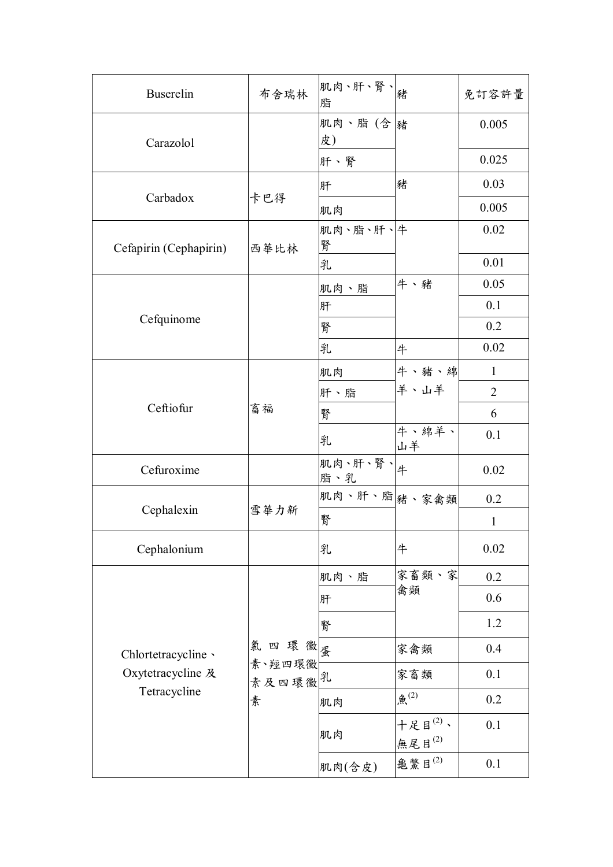| <b>Buserelin</b>                  | 布舍瑞林            | 肌肉、肝、腎、  猪<br>脂 |                                | 免訂容許量          |
|-----------------------------------|-----------------|-----------------|--------------------------------|----------------|
| Carazolol                         |                 | 肌肉、脂(含)豬<br>皮)  |                                | 0.005          |
|                                   |                 | 肝、腎             |                                | 0.025          |
|                                   |                 | 肝               | 豬                              | 0.03           |
| Carbadox                          | 卡巴得             | 肌肉              |                                | 0.005          |
| Cefapirin (Cephapirin)            | 西華比林            | 肌肉、脂、肝、牛<br>腎   |                                | 0.02           |
|                                   |                 | 乳               |                                | 0.01           |
|                                   |                 | 肌肉、脂            | 牛、豬                            | 0.05           |
| Cefquinome                        |                 | 肝               |                                | 0.1            |
|                                   |                 | 腎               |                                | 0.2            |
|                                   |                 | 乳               | 牛                              | 0.02           |
|                                   |                 | 肌肉              | 牛、豬、綿                          | $\mathbf{1}$   |
|                                   | 畜福              | 肝、脂             | 羊、山羊                           | $\overline{2}$ |
| Ceftiofur                         |                 | 腎               |                                | 6              |
|                                   |                 | 乳               | 牛、綿羊、<br>山羊                    | 0.1            |
| Cefuroxime                        |                 | 肌肉、肝、腎、牛<br>脂、乳 |                                | 0.02           |
|                                   |                 | 肌肉、肝、脂」绪、家禽類    |                                | 0.2            |
| Cephalexin                        | 雪華力新            | 腎               |                                | $\mathbf{1}$   |
| Cephalonium                       |                 | 乳               | 牛                              | 0.02           |
|                                   |                 | 肌肉、脂            | 家畜類、家                          | 0.2            |
|                                   |                 | 肝               | 禽類                             | 0.6            |
|                                   |                 | 腎               |                                | 1.2            |
| Chlortetracycline ·               | 氣四環黴蛋           |                 | 家禽類                            | 0.4            |
| Oxytetracycline 及<br>Tetracycline | 素、羥四環黴<br>素及四環黴 |                 | 家畜類                            | 0.1            |
|                                   | 素               | 肌肉              | 魚 $(2)$                        | 0.2            |
|                                   |                 | 肌肉              | 十足目 $^{(2)}$ 、<br>無尾目 $^{(2)}$ | 0.1            |
|                                   |                 | 肌肉(含皮)          | 龜鱉目 $^{(2)}$                   | 0.1            |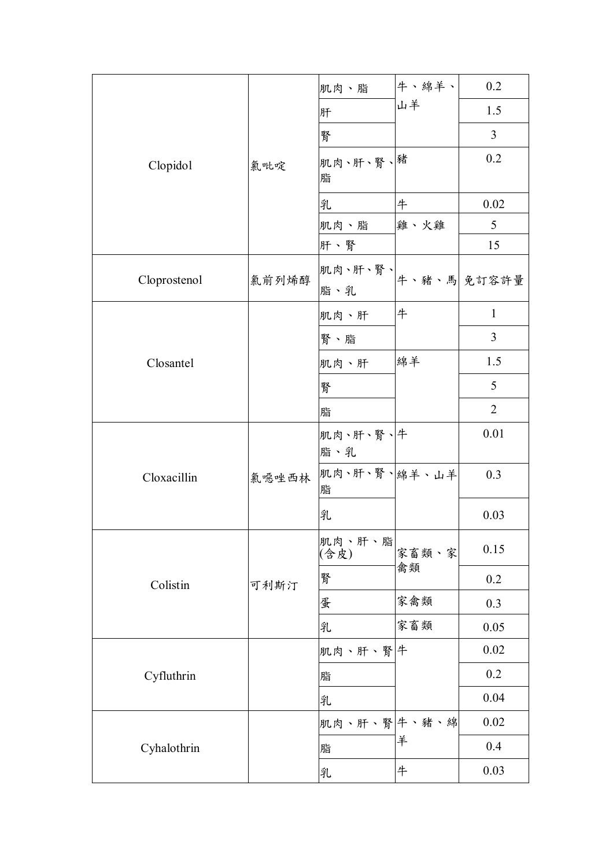|              |       | 肌肉、脂                             | 牛、綿羊、       | 0.2            |
|--------------|-------|----------------------------------|-------------|----------------|
|              |       | 肝                                | 山羊          | 1.5            |
|              |       | 腎                                |             | 3              |
| Clopidol     | 氯吡啶   | 肌肉、肝、腎、緒<br>脂                    |             | 0.2            |
|              |       | 乳                                | 牛           | 0.02           |
|              |       | 肌肉、脂                             | 雞、火雞        | 5              |
|              |       | 肝、腎                              |             | 15             |
| Cloprostenol | 氯前列烯醇 | 肌肉、肝、腎、 <br> 牛、豬、馬  免訂容許量<br>脂、乳 |             |                |
|              |       | 肌肉、肝                             | 牛           | $\mathbf{1}$   |
|              |       | 腎、脂                              |             | $\overline{3}$ |
| Closantel    |       | 肌肉、肝                             | 綿羊          | 1.5            |
|              |       | 腎                                |             | 5              |
|              |       | 脂                                |             | $\overline{2}$ |
|              |       | 肌肉、肝、腎、牛<br>脂、乳                  |             | 0.01           |
| Cloxacillin  | 氯噁唑西林 | 肌肉、肝、腎、綿羊、山羊<br>脂                |             | 0.3            |
|              |       | 乳                                |             | 0.03           |
|              |       | 肌肉、肝、脂<br>(含皮)                   | 家畜類、家<br>禽類 | 0.15           |
| Colistin     | 可利斯汀  | 腎                                |             | 0.2            |
|              |       | 蛋                                | 家禽類         | 0.3            |
|              |       | 乳                                | 家畜類         | 0.05           |
|              |       | 肌肉、肝、腎 牛                         |             | 0.02           |
| Cyfluthrin   |       | 脂                                |             | 0.2            |
|              |       | 乳                                |             | 0.04           |
|              |       | 肌肉、肝、腎牛、豬、綿                      |             | 0.02           |
| Cyhalothrin  |       | 脂                                | 羊           | 0.4            |
|              |       | 乳                                | 牛           | 0.03           |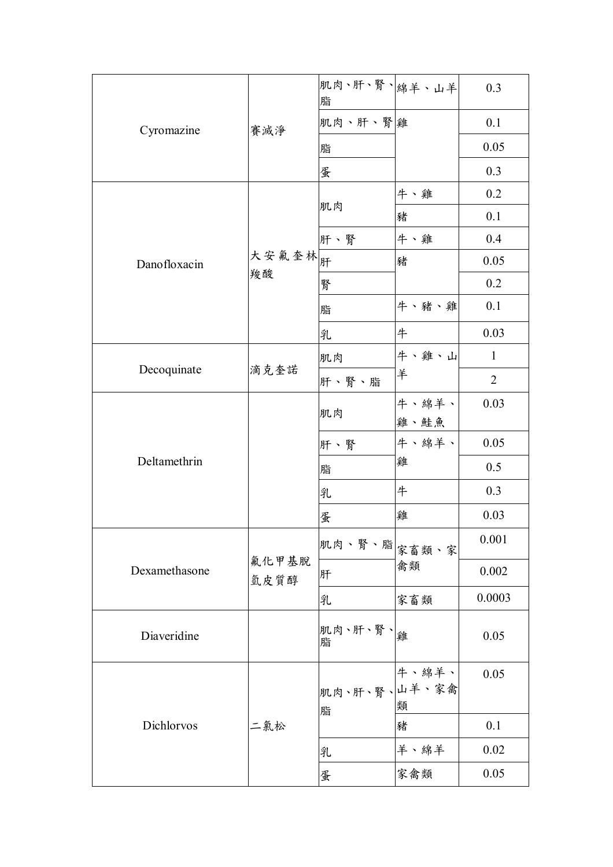|               |               | 肌肉、肝、腎、綿羊、山羊<br>脂  |               | 0.3            |
|---------------|---------------|--------------------|---------------|----------------|
| Cyromazine    | 賽滅淨           | 肌肉、肝、腎離            |               | 0.1            |
|               |               | 脂                  |               | 0.05           |
|               |               | 蛋                  |               | 0.3            |
|               |               |                    | 牛、雞           | 0.2            |
|               |               | 肌肉                 | 豬             | 0.1            |
|               |               | 肝、腎                | 牛、雞           | 0.4            |
| Danofloxacin  | 大安氟奎林开<br>羧酸  |                    | 豬             | 0.05           |
|               |               | 腎                  |               | 0.2            |
|               |               | 脂                  | 牛、豬、雞         | 0.1            |
|               |               | 乳                  | 牛             | 0.03           |
|               |               | 肌肉                 | 牛、雞、山         | $\mathbf{1}$   |
| Decoquinate   | 滴克奎諾          | 肝、腎、脂              | 羊             | $\overline{2}$ |
|               |               | 肌肉                 | 牛、綿羊、<br>雞、鮭魚 | 0.03           |
|               |               | 肝、腎                | 牛、綿羊、         | 0.05           |
| Deltamethrin  |               | 脂                  | 雞             | 0.5            |
|               |               | 乳                  | 牛             | 0.3            |
|               |               | 蛋                  | 雞             | 0.03           |
|               |               | <br> 肌肉、腎、脂  家畜類、家 |               | 0.001          |
| Dexamethasone | 氟化甲基脱<br>氫皮質醇 | 肝                  | 禽類            | 0.002          |
|               |               | 乳                  | 家畜類           | 0.0003         |
| Diaveridine   |               | 肌肉、肝、腎、解<br>脂      |               | 0.05           |
|               |               | 肌肉、肝、腎、山羊、家禽<br>脂  | 牛、綿羊、<br>類    | 0.05           |
| Dichlorvos    | 二氯松           |                    | 豬             | 0.1            |
|               |               | 乳                  | 羊、綿羊          | 0.02           |
|               |               | 蛋                  | 家禽類           | 0.05           |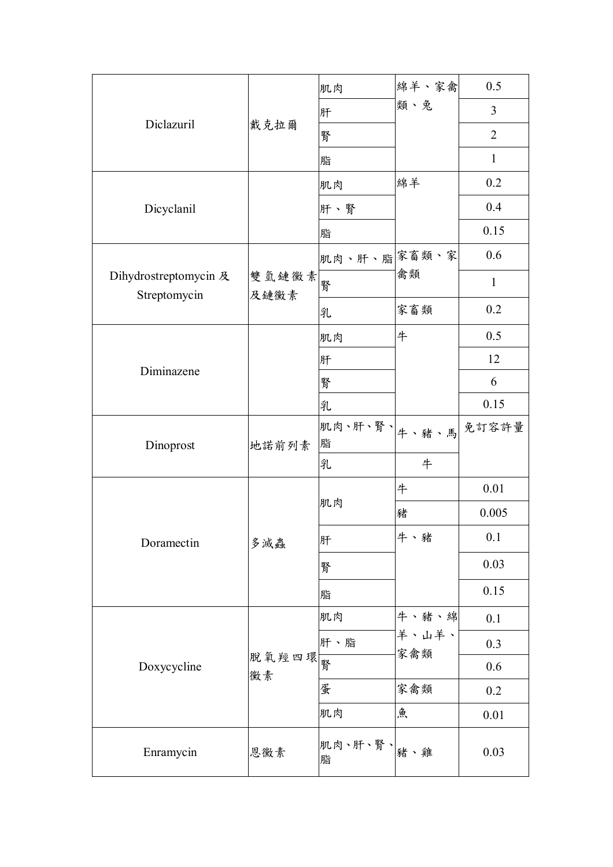|                                       |               | 肌肉                           | 綿羊、家禽        | 0.5            |
|---------------------------------------|---------------|------------------------------|--------------|----------------|
|                                       |               | 肝                            | 類、兔          | 3              |
| Diclazuril                            | 戴克拉爾          | 腎                            |              | $\overline{2}$ |
|                                       |               | 脂                            |              | $\mathbf{1}$   |
|                                       |               | 肌肉                           | 綿羊           | 0.2            |
| Dicyclanil                            |               | 肝、腎                          |              | 0.4            |
|                                       |               | 脂                            |              | 0.15           |
|                                       |               | 肌肉、肝、脂余畜類、家                  |              | 0.6            |
| Dihydrostreptomycin 及<br>Streptomycin | 雙氫鏈黴素<br>及鏈黴素 | 腎                            | 禽類           | $\mathbf{1}$   |
|                                       |               | 乳                            | 家畜類          | 0.2            |
|                                       |               | 肌肉                           | 牛            | 0.5            |
|                                       |               | 肝                            |              | 12             |
| Diminazene                            |               | 腎                            |              | 6              |
|                                       |               | 乳                            |              | 0.15           |
| Dinoprost                             | 地諾前列素         | <br> 肌肉、肝、腎、  牛 、豬 、馬 <br>脂  |              | 免訂容許量          |
|                                       |               | 乳                            | 牛            |                |
|                                       |               |                              | 牛            | 0.01           |
|                                       |               | 肌肉                           | 豬            | 0.005          |
| Doramectin                            | 多滅蟲           | 肝                            | 牛、豬          | 0.1            |
|                                       |               | 腎                            |              | 0.03           |
|                                       |               | 脂                            |              | 0.15           |
|                                       |               | 肌肉                           | 牛、豬、綿        | 0.1            |
|                                       |               | 肝、脂                          | 羊、山羊、<br>家禽類 | 0.3            |
| Doxycycline                           | 脱氧羥四環<br>黴素   |                              |              | 0.6            |
|                                       |               | 蛋                            | 家禽類          | 0.2            |
|                                       |               | 肌肉                           | 魚            | 0.01           |
| Enramycin                             | 恩黴素           | 肌肉、肝、腎、  <sub>豬、雞</sub><br>脂 |              | 0.03           |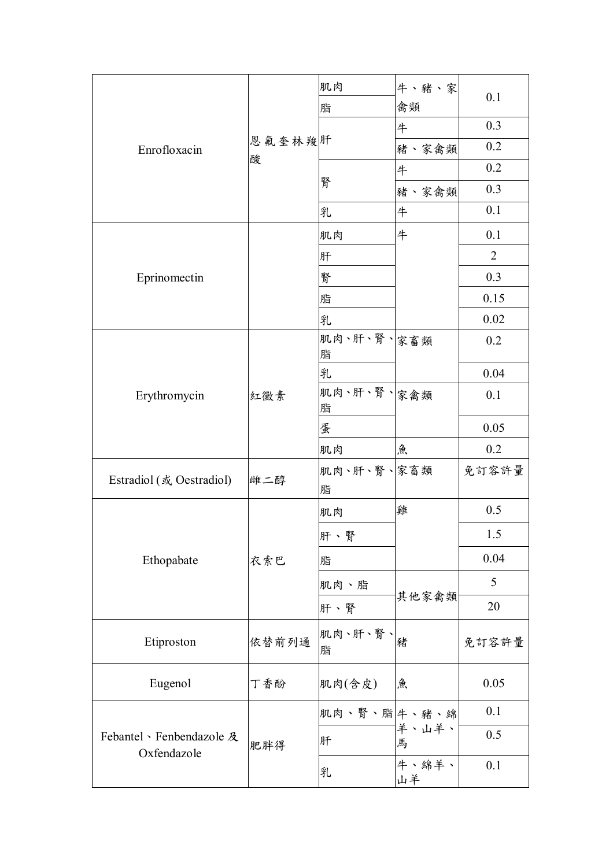|                                        |             | 肌肉              | 牛、豬、家       | 0.1   |
|----------------------------------------|-------------|-----------------|-------------|-------|
|                                        |             | 脂               | 禽類          |       |
|                                        |             |                 | 牛           | 0.3   |
| Enrofloxacin                           | 恩氟奎林羧肝<br>酸 |                 | 豬、家禽類       | 0.2   |
|                                        |             |                 | 牛           | 0.2   |
|                                        |             | 腎               | 豬、家禽類       | 0.3   |
|                                        |             | 乳               | 牛           | 0.1   |
|                                        |             | 肌肉              | 牛           | 0.1   |
|                                        |             | 肝               |             | 2     |
| Eprinomectin                           |             | 腎               |             | 0.3   |
|                                        |             | 脂               |             | 0.15  |
|                                        |             | 乳               |             | 0.02  |
|                                        |             | 肌肉、肝、腎、家畜類      |             | 0.2   |
|                                        |             | 脂               |             |       |
|                                        |             | 乳<br>肌肉、肝、腎、家禽類 |             | 0.04  |
| Erythromycin                           | 紅黴素         | 脂               |             | 0.1   |
|                                        |             | 蛋               |             | 0.05  |
|                                        |             | 肌肉              | 魚           | 0.2   |
|                                        |             | 肌肉、肝、腎、家畜類      |             | 免訂容許量 |
| Estradiol (或 Oestradiol)               | 雌二醇         | 脂               |             |       |
|                                        |             | 肌肉              | 雞           | 0.5   |
|                                        |             | 肝、腎             |             | 1.5   |
| Ethopabate                             | 衣索巴         | 脂               |             | 0.04  |
|                                        |             | 肌肉、脂            |             | 5     |
|                                        |             | 肝、腎             | 其他家禽類       | 20    |
| Etiproston                             | 依替前列通       | 肌肉、肝、腎、         | 豬           | 免訂容許量 |
|                                        |             | 脂               |             |       |
| Eugenol                                | 丁香酚         | 肌肉(含皮)          | 魚           | 0.05  |
|                                        |             | 肌肉、腎、脂 牛、豬、綿    |             | 0.1   |
| Febantel、Fenbendazole 及<br>Oxfendazole | 肥胖得         | 肝               | 羊、山羊、<br>馬  | 0.5   |
|                                        |             | 乳               | 牛、綿羊、<br>山羊 | 0.1   |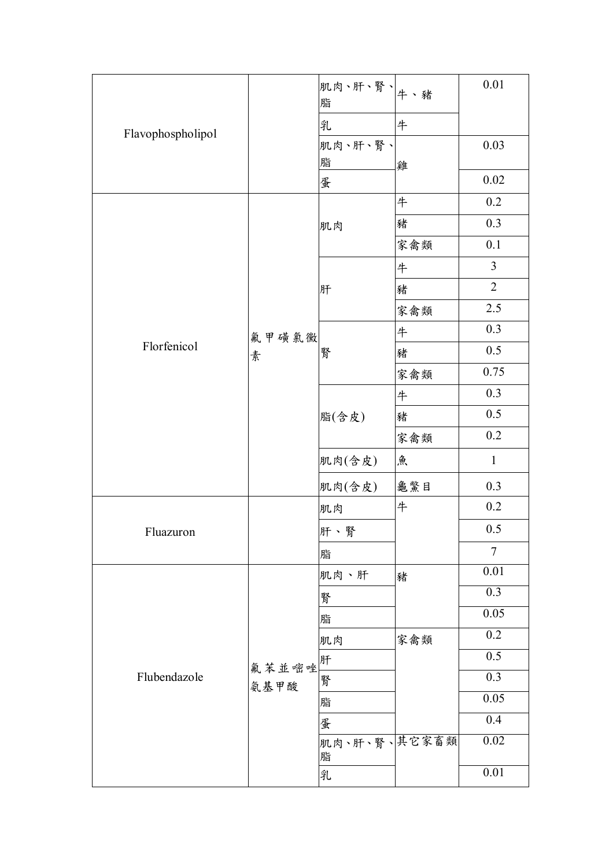|                   |         | <br> 肌肉、肝、腎、 <br> 牛、豬<br>脂 |     | 0.01              |
|-------------------|---------|----------------------------|-----|-------------------|
|                   |         | 乳                          | 牛   |                   |
| Flavophospholipol |         | 肌肉、肝、腎、                    |     | 0.03              |
|                   |         | 脂                          | 雞   |                   |
|                   |         | 蛋                          |     | 0.02              |
|                   |         |                            | 牛   | 0.2               |
|                   |         | 肌肉                         | 豬   | 0.3               |
|                   |         |                            | 家禽類 | 0.1               |
|                   |         |                            | #   | $\overline{3}$    |
|                   |         | 肝                          | 豬   | $\overline{2}$    |
|                   |         |                            | 家禽類 | 2.5               |
|                   | 氟甲磺氯黴   |                            | #   | 0.3               |
| Florfenicol       | 素       | 腎                          | 豬   | 0.5               |
|                   |         |                            | 家禽類 | 0.75              |
|                   |         | 脂(含皮)                      | 牛   | 0.3               |
|                   |         |                            | 豬   | 0.5               |
|                   |         |                            | 家禽類 | 0.2               |
|                   |         | 肌肉(含皮)                     | 魚   | $\mathbf{1}$      |
|                   |         | 肌肉(含皮)                     | 龜驚目 | 0.3               |
|                   |         | 肌肉                         | 牛   | 0.2               |
| Fluazuron         |         | 肝、腎                        |     | 0.5               |
|                   |         | 脂                          |     | $\overline{7}$    |
|                   |         | 肌肉、肝                       | 豬   | 0.01              |
|                   |         | 腎                          |     | 0.3               |
|                   |         | 脂                          |     | $\overline{0.05}$ |
|                   |         | 肌肉                         | 家禽類 | 0.2               |
|                   | 氟苯並嘧唑 肝 |                            |     | 0.5               |
| Flubendazole      | 氨基甲酸    | 腎                          |     | 0.3               |
|                   |         | 脂                          |     | 0.05              |
|                   |         | 蛋                          |     | 0.4               |
|                   |         | 肌肉、肝、腎、其它家畜類<br>脂          |     | $0.02\,$          |
|                   |         | 乳                          |     | 0.01              |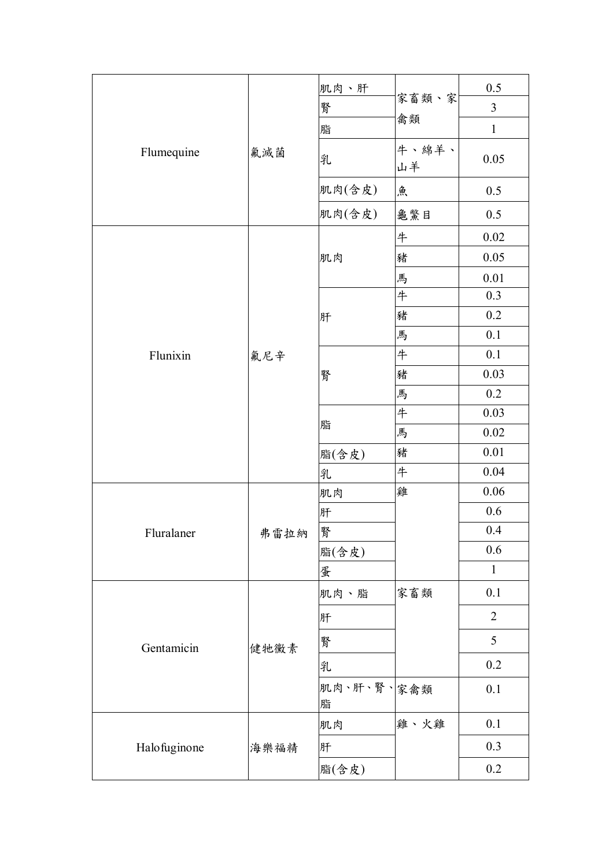|              |      | 肌肉、肝            |             | 0.5            |
|--------------|------|-----------------|-------------|----------------|
|              |      | 腎               | 家畜類、家       | $\mathfrak{Z}$ |
|              |      | 脂               | 禽類          | $\mathbf{1}$   |
| Flumequine   | 氟滅菌  | 乳               | 牛、綿羊、<br>山羊 | 0.05           |
|              |      | 肌肉(含皮)          | 魚           | 0.5            |
|              |      | 肌肉(含皮)          | 龜鱉目         | 0.5            |
|              |      |                 | 牛           | $0.02\,$       |
|              |      | 肌肉              | 豬           | 0.05           |
|              |      |                 | 馬           | 0.01           |
|              |      |                 | 牛           | 0.3            |
|              |      | 肝               | 豬           | 0.2            |
|              |      |                 | 馬           | 0.1            |
| Flunixin     | 氟尼辛  | 腎               | 牛           | 0.1            |
|              |      |                 | 豬           | 0.03           |
|              |      |                 | 馬           | 0.2            |
|              |      | 脂               | 牛           | 0.03           |
|              |      |                 | 馬           | 0.02           |
|              |      | 脂(含皮)           | 豬           | 0.01           |
|              |      | 乳               | 牛           | 0.04           |
|              |      | 肌肉              | 雞           | 0.06           |
|              |      | 肝               |             | 0.6            |
| Fluralaner   | 弗雷拉納 | 腎               |             | 0.4            |
|              |      | 脂(含皮)           |             | 0.6            |
|              |      | 蛋               |             | $\mathbf{1}$   |
|              |      | 肌肉、脂            | 家畜類         | 0.1            |
|              |      | 肝               |             | $\overline{2}$ |
| Gentamicin   | 健牠黴素 | 腎               |             | 5              |
|              |      | 乳               |             | 0.2            |
|              |      | 肌肉、肝、腎、家禽類<br>脂 |             | 0.1            |
|              |      | 肌肉              | 雞、火雞        | 0.1            |
| Halofuginone | 海樂福精 | 肝               |             | 0.3            |
|              |      | 脂(含皮)           |             | 0.2            |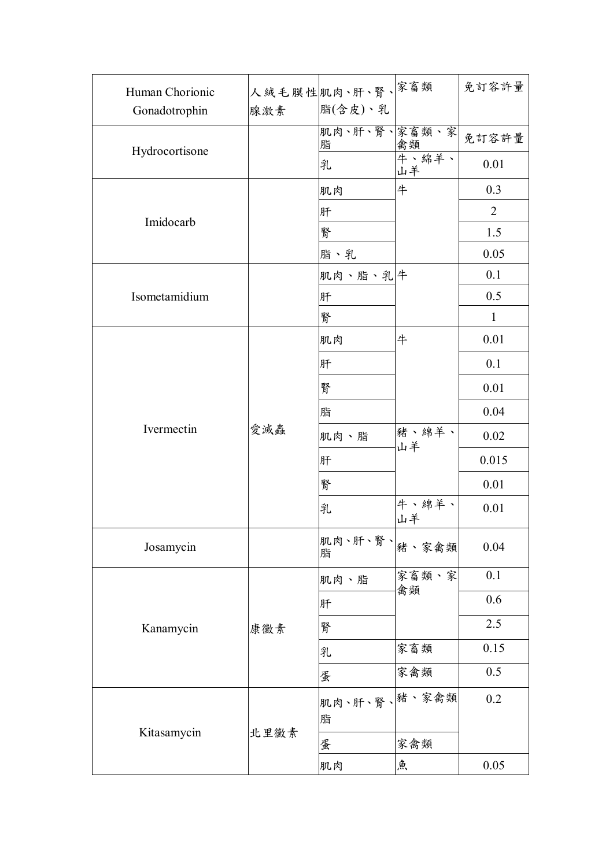| Human Chorionic |      | 人絨毛膜性肌肉、肝、腎、 <sup>家畜類</sup>     |             | 免訂容許量          |
|-----------------|------|---------------------------------|-------------|----------------|
| Gonadotrophin   | 腺激素  | 脂(含皮)、乳                         |             |                |
|                 |      | 肌肉、肝、腎、家畜類、家<br>脂               | 禽類          | 免訂容許量          |
| Hydrocortisone  |      | 乳                               | 牛、綿羊、<br>山羊 | 0.01           |
|                 |      | 肌肉                              | 牛           | 0.3            |
| Imidocarb       |      | 肝                               |             | $\overline{2}$ |
|                 |      | 腎                               |             | 1.5            |
|                 |      | 脂、乳                             |             | 0.05           |
|                 |      | 肌肉、脂、乳牛                         |             | 0.1            |
| Isometamidium   |      | 肝                               |             | 0.5            |
|                 |      | 腎                               |             | $\mathbf{1}$   |
|                 |      | 肌肉                              | 牛           | 0.01           |
|                 |      | 肝                               |             | 0.1            |
|                 |      | 腎                               |             | 0.01           |
|                 | 愛滅蟲  | 脂                               |             | 0.04           |
| Ivermectin      |      | 肌肉、脂                            | 豬、綿羊、<br>山羊 | 0.02           |
|                 |      | 肝                               |             | 0.015          |
|                 |      | 腎                               |             | 0.01           |
|                 |      | 乳                               | 牛、綿羊、<br>山羊 | 0.01           |
| Josamycin       |      | 肌肉、肝、腎、  <sub>豬、家禽類</sub><br>脂  |             | 0.04           |
|                 |      | 肌肉、脂                            | 家畜類、家       | 0.1            |
|                 |      | 肝                               | 禽類          | 0.6            |
| Kanamycin       | 康黴素  | 腎                               |             | 2.5            |
|                 |      | 乳                               | 家畜類         | 0.15           |
|                 |      | 蛋                               | 家禽類         | 0.5            |
|                 |      | 肌肉、肝、腎、 <mark>豬、家禽類</mark><br>脂 |             | 0.2            |
| Kitasamycin     | 北里黴素 | 蛋                               | 家禽類         |                |
|                 |      | 肌肉                              | 魚           | 0.05           |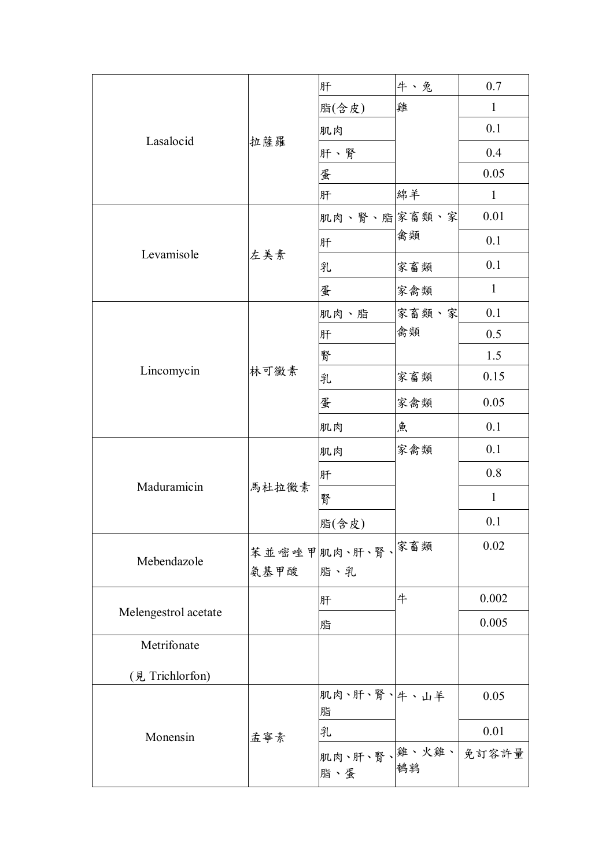|                      |          | 肝                                      | 牛、兔   | 0.7          |
|----------------------|----------|----------------------------------------|-------|--------------|
|                      |          | 脂(含皮)                                  | 雞     | $\mathbf{1}$ |
|                      |          | 肌肉                                     |       | 0.1          |
| Lasalocid            | 拉薩羅      | 肝、腎                                    |       | 0.4          |
|                      |          | 蛋                                      |       | 0.05         |
|                      |          | 肝                                      | 綿羊    | $\mathbf{1}$ |
|                      |          | 肌肉、腎、脂家畜類、家                            |       | 0.01         |
|                      |          | 肝                                      | 禽類    | 0.1          |
| Levamisole           | 左美素      | 乳                                      | 家畜類   | 0.1          |
|                      |          | 蛋                                      | 家禽類   | $\mathbf{1}$ |
|                      |          | 肌肉、脂                                   | 家畜類、家 | 0.1          |
| Lincomycin           |          | 肝                                      | 禽類    | 0.5          |
|                      |          | 腎                                      |       | 1.5          |
|                      | 林可黴素     | 乳                                      | 家畜類   | 0.15         |
|                      |          | 蛋                                      | 家禽類   | 0.05         |
|                      |          | 肌肉                                     | 魚     | 0.1          |
|                      |          | 肌肉                                     | 家禽類   | 0.1          |
|                      |          | 肝                                      |       | 0.8          |
| Maduramicin          | 馬杜拉黴素    | 腎                                      |       | $\mathbf{1}$ |
|                      |          | 脂(含皮)                                  |       | 0.1          |
|                      |          | 苯並嘧唑甲肌肉、肝、腎、 <sup>家畜類</sup>            |       | 0.02         |
| Mebendazole          | 氨基甲酸 脂、乳 |                                        |       |              |
|                      |          | 肝                                      | 牛     | 0.002        |
| Melengestrol acetate |          | 脂                                      |       | 0.005        |
| Metrifonate          |          |                                        |       |              |
| (見 Trichlorfon)      |          |                                        |       |              |
|                      |          | 肌肉、肝、腎、牛、山羊                            |       | 0.05         |
|                      |          | 脂                                      |       |              |
| Monensin             | 孟寧素      | 乳                                      |       | 0.01         |
|                      |          | 肌肉、肝、腎、離、火雞、 免訂容許量<br> <br> 止、尽<br>脂、蛋 |       |              |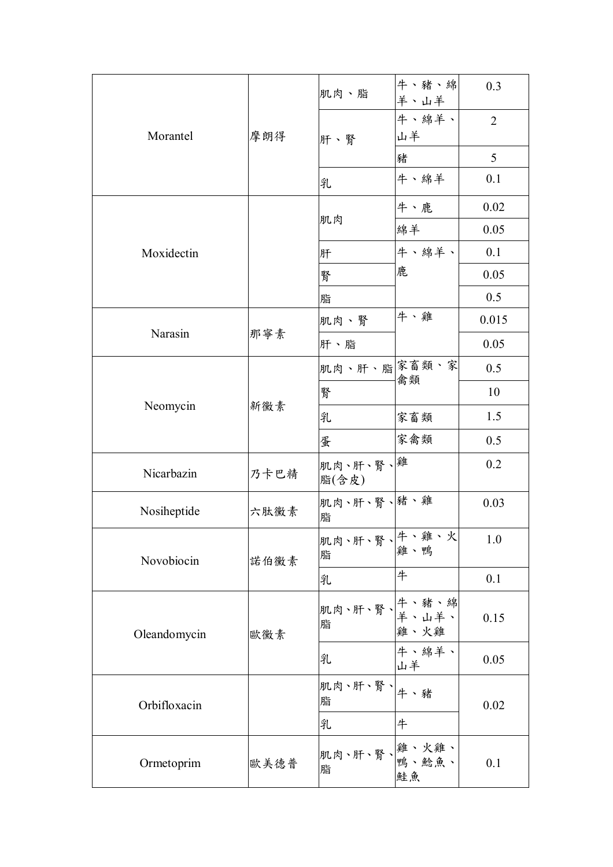|              | 摩朗得  | 肌肉、脂                                     | 牛、豬、綿<br>羊、山羊 | 0.3            |
|--------------|------|------------------------------------------|---------------|----------------|
| Morantel     |      | 肝、腎                                      | 牛、綿羊、<br>山羊   | $\overline{2}$ |
|              |      |                                          | 豬             | 5              |
|              |      | 乳                                        | 牛、綿羊          | 0.1            |
|              |      |                                          | 牛、鹿           | 0.02           |
|              |      | 肌肉                                       | 綿羊            | 0.05           |
| Moxidectin   |      | 肝                                        | 牛、綿羊、         | 0.1            |
|              |      | 腎                                        | 鹿             | 0.05           |
|              |      | 脂                                        |               | 0.5            |
|              |      | 肌肉、腎                                     | 牛、雞           | 0.015          |
| Narasin      | 那寧素  | 肝、脂                                      |               | 0.05           |
|              | 新黴素  | 肌肉、肝、脂余畜類、家                              | 禽類            | 0.5            |
|              |      | 腎                                        |               | 10             |
| Neomycin     |      | 乳                                        | 家畜類           | 1.5            |
|              |      | 蛋                                        | 家禽類           | 0.5            |
| Nicarbazin   | 乃卡巴精 | 肌肉、肝、腎、離<br>脂(含皮)                        |               | 0.2            |
| Nosiheptide  | 六肽黴素 | 肌肉、肝、腎、豬、雞<br>脂                          |               | 0.03           |
| Novobiocin   | 諾伯黴素 | <br> 肌肉、肝、腎、常、雞、火<br> 蛙、臀、雞、鴨<br>脂       |               | $1.0\,$        |
|              |      | 乳                                        | 牛             | 0.1            |
| Oleandomycin | 歐黴素  |                                          |               | 0.15           |
|              |      | 乳                                        | 牛、綿羊、<br>山羊   | 0.05           |
| Orbifloxacin |      | 肌肉、肝、腎、 牛、豬<br>脂                         |               | 0.02           |
|              |      | 乳                                        | 牛             |                |
| Ormetoprim   | 歐美德普 | <br>肌肉、肝、腎、 <mark>雞、火雞、</mark><br>肥<br>脂 | 鮭魚            | 0.1            |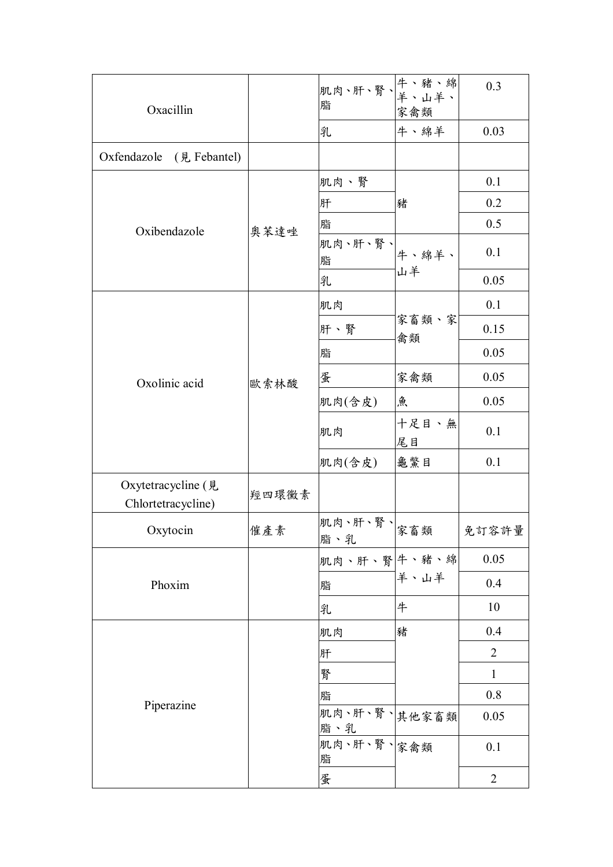| Oxacillin                                |       | <br> 肌肉、肝、腎、 <mark>牛、豬、綿</mark><br>  <sub>肥</sub><br>脂 | 家禽類         | 0.3            |
|------------------------------------------|-------|--------------------------------------------------------|-------------|----------------|
|                                          |       | 乳                                                      | 牛、綿羊        | 0.03           |
| Oxfendazole<br>(見 Febantel)              |       |                                                        |             |                |
|                                          | 奧苯達唑  | 肌肉、腎                                                   | 豬           | 0.1            |
|                                          |       | 肝                                                      |             | 0.2            |
| Oxibendazole                             |       | 脂                                                      |             | 0.5            |
|                                          |       | 肌肉、肝、腎、<br>脂                                           | 牛、綿羊、       | 0.1            |
|                                          |       | 乳                                                      | 山羊          | 0.05           |
|                                          |       | 肌肉                                                     |             | 0.1            |
|                                          |       | 肝、腎                                                    | 家畜類、家<br>禽類 | 0.15           |
|                                          |       | 脂                                                      |             | 0.05           |
| Oxolinic acid                            | 歐索林酸  | 蛋                                                      | 家禽類         | 0.05           |
|                                          |       | 肌肉(含皮)                                                 | 魚           | 0.05           |
|                                          |       | 肌肉                                                     | 十足目、無<br>尾目 | 0.1            |
|                                          |       | 肌肉(含皮)                                                 | 龜驚目         | 0.1            |
| Oxytetracycline (見<br>Chlortetracycline) | 羥四環黴素 |                                                        |             |                |
| Oxytocin                                 | 催產素   | 肌肉、肝、腎、 家畜類<br>脂、乳                                     |             | 免訂容許量          |
|                                          |       | 肌肉、肝、腎 牛、豬、綿                                           |             | 0.05           |
| Phoxim                                   |       | 脂                                                      | 羊、山羊        | 0.4            |
|                                          |       | 乳                                                      | 牛           | 10             |
| Piperazine                               |       | 肌肉                                                     | 豬           | 0.4            |
|                                          |       | 肝                                                      |             | $\overline{2}$ |
|                                          |       | 腎                                                      |             | $\mathbf{1}$   |
|                                          |       | 脂                                                      |             | 0.8            |
|                                          |       | 肌肉、肝、腎、其他家畜類<br>脂、乳                                    |             | 0.05           |
|                                          |       | 肌肉、肝、腎、家禽類<br>脂                                        |             | 0.1            |
|                                          |       | 蛋                                                      |             | $\overline{2}$ |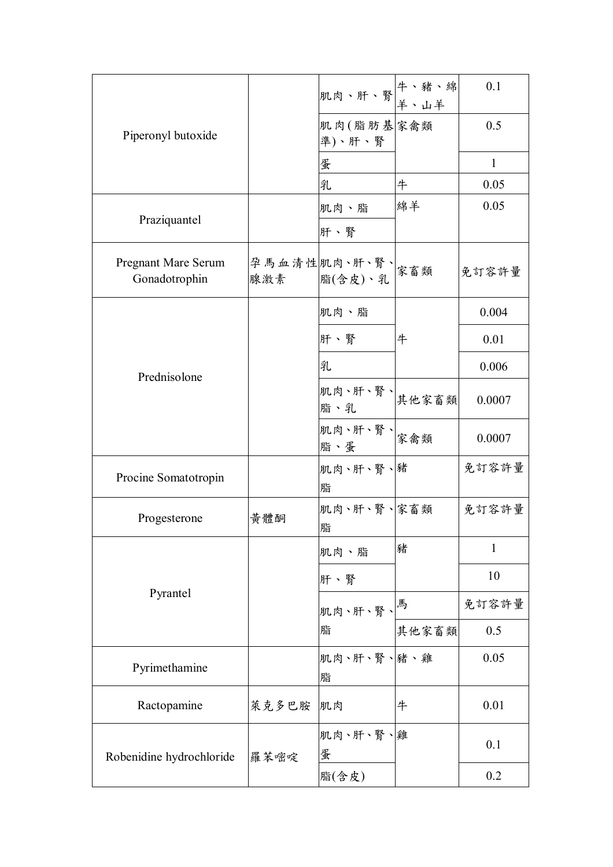| Piperonyl butoxide                   |       | 机肉、肝、腎 牛、豬、綿<br><u>年、日本、麻</u>                 |       | 0.1          |
|--------------------------------------|-------|-----------------------------------------------|-------|--------------|
|                                      |       | 肌肉(脂肪基家禽類<br>準)、肝、腎                           |       | 0.5          |
|                                      |       | 蛋                                             |       | $\mathbf{1}$ |
|                                      |       | 乳                                             | 牛     | 0.05         |
|                                      |       | 肌肉、脂                                          | 綿羊    | 0.05         |
| Praziquantel                         |       | 肝、腎                                           |       |              |
| Pregnant Mare Serum<br>Gonadotrophin |       | 孕馬血清性肌肉、肝、腎、<br>腺激素 脂(含皮)、乳                   |       | 免訂容許量        |
|                                      |       | 肌肉、脂                                          |       | 0.004        |
|                                      |       | 肝、腎                                           | 牛     | 0.01         |
| Prednisolone                         |       | 乳                                             |       | 0.006        |
|                                      |       | 肌肉、肝、腎、 <br> <br> <br> <br> <br> <br> <br>脂、乳 |       | 0.0007       |
|                                      |       | 肌肉、肝、腎、 家禽類<br>脂、蛋                            |       | 0.0007       |
| Procine Somatotropin                 |       | 肌肉、肝、腎、豬<br>脂                                 |       | 免訂容許量        |
| Progesterone                         | 黃體酮   | 肌肉、肝、腎、家畜類<br>脂                               |       | 免訂容許量        |
|                                      |       | 肌肉、脂                                          | 豬     | $\mathbf{1}$ |
| Pyrantel                             |       | 肝、腎                                           |       | 10           |
|                                      |       | 肌肉、肝、腎、  <sup> 馬</sup>                        |       | 免訂容許量        |
|                                      |       | 脂                                             | 其他家畜類 | 0.5          |
| Pyrimethamine                        |       | 肌肉、肝、腎、豬、雞<br>脂                               |       | 0.05         |
| Ractopamine                          | 萊克多巴胺 | 肌肉                                            | 牛     | 0.01         |
| Robenidine hydrochloride             | 羅苯嘧啶  | 肌肉、肝、腎、雞<br>蛋                                 |       | 0.1          |
|                                      |       | 脂(含皮)                                         |       | 0.2          |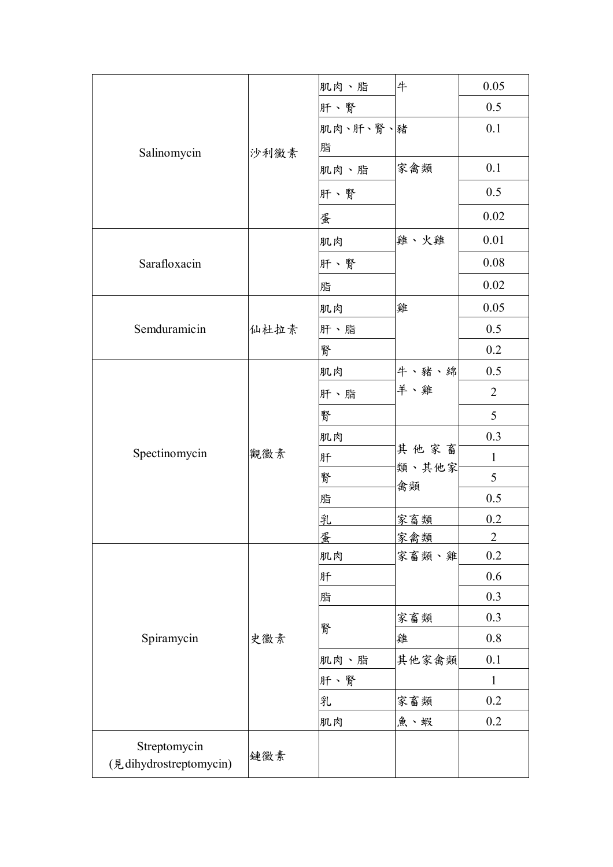| Salinomycin                            | 沙利黴素 | 肌肉、脂     | 牛                   | 0.05           |
|----------------------------------------|------|----------|---------------------|----------------|
|                                        |      | 肝、腎      |                     | 0.5            |
|                                        |      | 肌肉、肝、腎、豬 |                     | 0.1            |
|                                        |      | 脂        |                     |                |
|                                        |      | 肌肉、脂     | 家禽類                 | 0.1            |
|                                        |      | 肝、腎      |                     | 0.5            |
|                                        |      | 蛋        |                     | 0.02           |
|                                        |      | 肌肉       | 雞、火雞                | 0.01           |
| Sarafloxacin                           |      | 肝、腎      |                     | 0.08           |
|                                        |      | 脂        |                     | 0.02           |
|                                        |      | 肌肉       | 雞                   | 0.05           |
| Semduramicin                           | 仙杜拉素 | 肝、脂      |                     | 0.5            |
|                                        |      | 腎        |                     | 0.2            |
|                                        | 觀黴素  | 肌肉       | 牛、豬、綿               | 0.5            |
|                                        |      | 肝、脂      | 羊、雞                 | $\overline{2}$ |
|                                        |      | 腎        |                     | 5              |
|                                        |      | 肌肉       | 其他家畜<br>類、其他家<br>禽類 | 0.3            |
| Spectinomycin                          |      | 肝        |                     | $\mathbf{1}$   |
|                                        |      | 腎        |                     | 5              |
|                                        |      | 脂        |                     | 0.5            |
|                                        |      | 乳        | 家畜類                 | 0.2            |
|                                        |      | 蛋        | 家禽類                 | $\overline{2}$ |
|                                        |      | 肌肉       | 家畜類、雞               | 0.2            |
|                                        |      | 肝        |                     | 0.6            |
|                                        |      | 脂        |                     | 0.3            |
|                                        |      | 腎        | 家畜類                 | 0.3            |
| Spiramycin                             | 史黴素  |          | 雞                   | 0.8            |
|                                        |      | 肌肉、脂     | 其他家禽類               | 0.1            |
|                                        |      | 肝、腎      |                     | $\mathbf{1}$   |
|                                        |      | 乳        | 家畜類                 | 0.2            |
|                                        |      | 肌肉       | 魚、蝦                 | 0.2            |
| Streptomycin<br>(見dihydrostreptomycin) | 鏈黴素  |          |                     |                |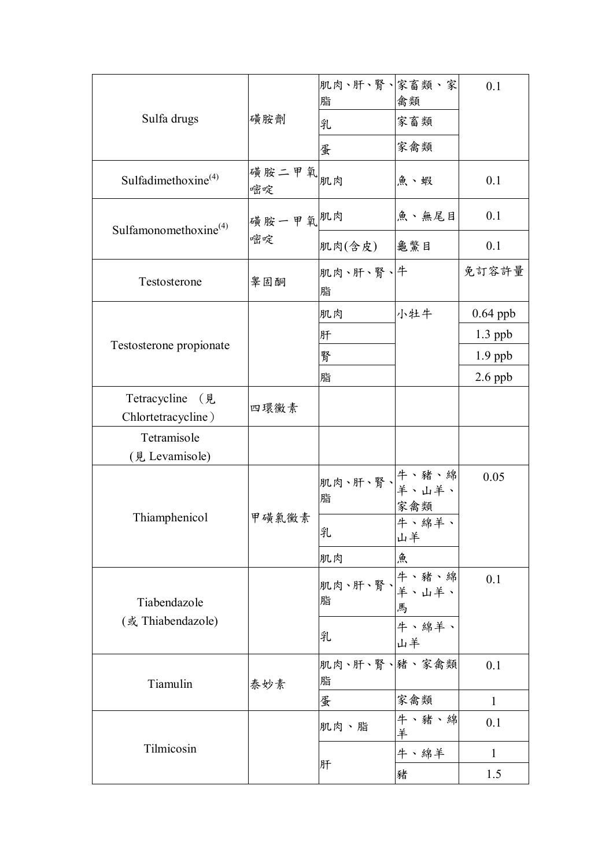| Sulfa drugs                           | 磺胺劑           | 肌肉、肝、腎、家畜類、家<br>脂<br>乳             | 禽類<br>家畜類   | 0.1          |
|---------------------------------------|---------------|------------------------------------|-------------|--------------|
|                                       | 磺胺二甲氧         | 蛋                                  | 家禽類         |              |
| Sulfadimethoxine <sup>(4)</sup>       | 嘧啶            | 肌肉                                 | 魚、蝦         | 0.1          |
| Sulfamonomethoxine <sup>(4)</sup>     | 磺胺一甲氧肌肉<br>嘧啶 |                                    | 魚、無尾目       | 0.1          |
|                                       |               | 肌肉(含皮)                             | 龜鱉目         | 0.1          |
| Testosterone                          | 睾固酮           | 肌肉、肝、腎、牛<br>脂                      |             | 免訂容許量        |
|                                       |               | 肌肉                                 | 小牡牛         | $0.64$ ppb   |
|                                       |               | 肝                                  |             | $1.3$ ppb    |
| Testosterone propionate               |               | 腎                                  |             | $1.9$ ppb    |
|                                       |               | 脂                                  |             | $2.6$ ppb    |
| Tetracycline (見<br>Chlortetracycline) | 四環黴素          |                                    |             |              |
| Tetramisole                           |               |                                    |             |              |
| (見 Levamisole)                        |               |                                    |             |              |
|                                       | 甲磺氯黴素         | 肌肉、肝、腎、牛、豬、綿<br><sub>��</sub><br>脂 | 家禽類         | 0.05         |
| Thiamphenicol                         |               | 乳                                  | 牛、綿羊、<br>山羊 |              |
|                                       |               | 肌肉                                 | 魚           |              |
| Tiabendazole                          |               | 肌肉、肝、腎、牛、豬、綿<br>叶<br>脂             | 馬           | 0.1          |
| (或 Thiabendazole)                     |               | 乳                                  | 牛、綿羊、<br>山羊 |              |
| Tiamulin                              | 泰妙素           | 肌肉、肝、腎、緒、家禽類<br>脂                  |             | 0.1          |
|                                       |               | 蛋                                  | 家禽類         | $\mathbf{1}$ |
| Tilmicosin                            |               | 肌肉、脂                               | 牛、豬、綿<br>羊  | 0.1          |
|                                       |               | 肝                                  | 牛、綿羊        | $\mathbf{1}$ |
|                                       |               |                                    | 豬           | 1.5          |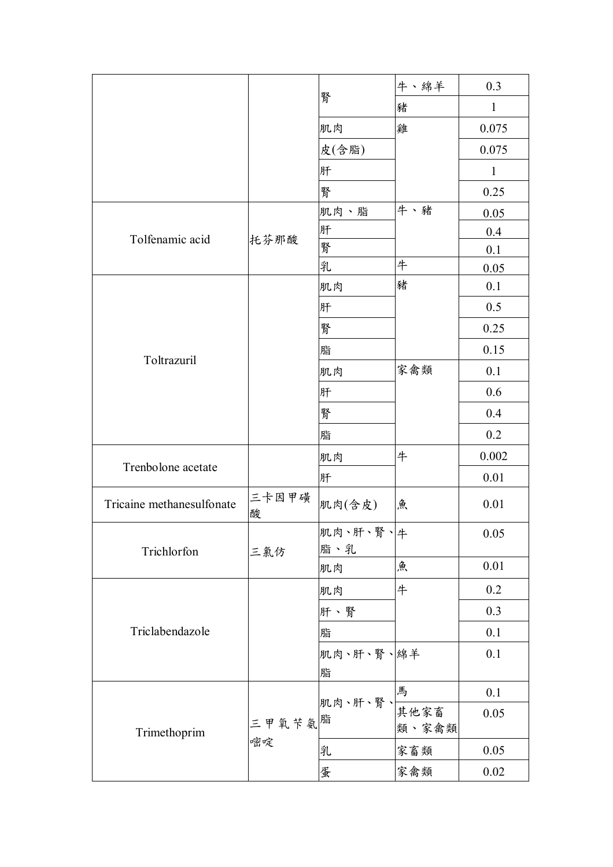|                           |              | 腎               | 牛、綿羊  | 0.3          |
|---------------------------|--------------|-----------------|-------|--------------|
|                           |              |                 | 豬     | $\mathbf{1}$ |
|                           |              | 肌肉              | 雞     | 0.075        |
|                           |              | 皮(含脂)           |       | 0.075        |
|                           |              | 肝               |       | $\mathbf{1}$ |
|                           |              | 腎               |       | 0.25         |
|                           |              | 肌肉、脂            | 牛、豬   | 0.05         |
|                           | 托芬那酸         | 肝               |       | 0.4          |
| Tolfenamic acid           |              | 腎               |       | 0.1          |
|                           |              | 乳               | 牛     | 0.05         |
|                           |              | 肌肉              | 豬     | 0.1          |
|                           |              | 肝               |       | 0.5          |
|                           |              | 腎               |       | 0.25         |
|                           |              | 脂               |       | 0.15         |
| Toltrazuril               |              | 肌肉              | 家禽類   | 0.1          |
|                           |              | 肝               |       | 0.6          |
|                           |              | 腎               |       | 0.4          |
|                           |              | 脂               |       | 0.2          |
|                           |              | 肌肉              | 牛     | 0.002        |
| Trenbolone acetate        |              | 肝               |       | 0.01         |
| Tricaine methanesulfonate | 三卡因甲磺<br>酸   | 肌肉(含皮)          | 魚     | 0.01         |
|                           | 三氯仿          | 肌肉、肝、腎、牛        |       | 0.05         |
| Trichlorfon               |              | 脂、乳             |       |              |
|                           |              | 肌肉              | 魚     | 0.01         |
| Triclabendazole           |              | 肌肉              | 牛     | 0.2          |
|                           |              | 肝、腎             |       | 0.3          |
|                           |              | 脂               |       | 0.1          |
|                           |              | 肌肉、肝、腎、綿羊       |       | 0.1          |
|                           |              | 脂               |       |              |
| Trimethoprim              | 三甲氧苄氨脂<br>嘧啶 | 肌肉、肝、腎、<br>其他家畜 | 馬     | 0.1          |
|                           |              |                 |       | 0.05         |
|                           |              |                 | 類、家禽類 |              |
|                           |              | 乳               | 家畜類   | 0.05         |
|                           |              | 蛋               | 家禽類   | $0.02\,$     |